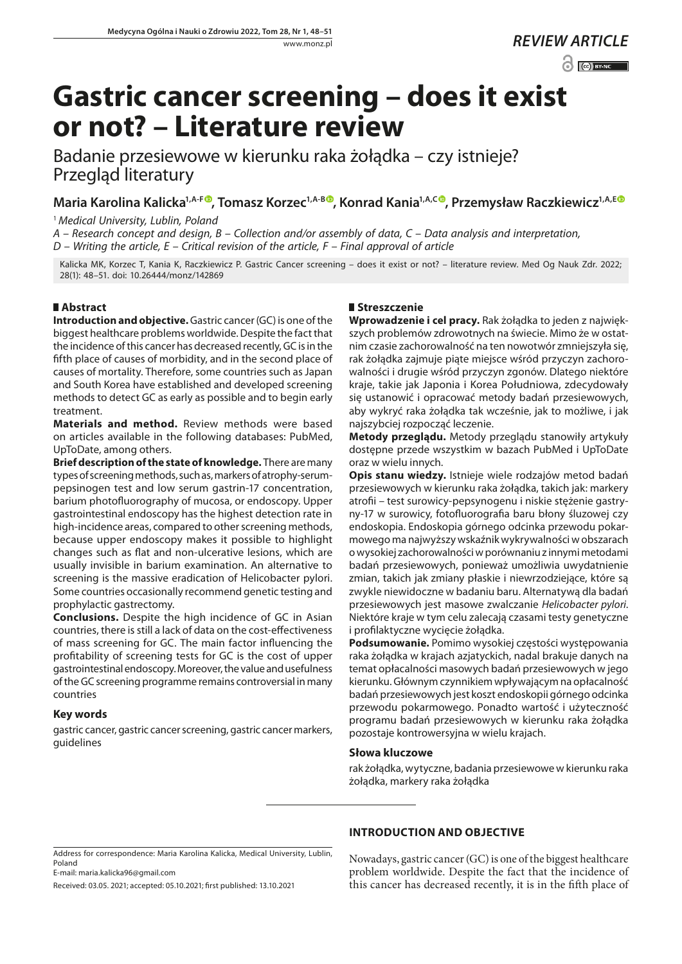$\odot$   $\odot$  BY-NC

# **Gastric cancer screening – does it exist or not? – Literature review**

Badanie przesiewowe w kierunku raka żołądka – czy istnieje? Przegląd literatury

Maria Karolina Kalicka<sup>1[,](https://orcid.org/0000-0001-6979-2534)A-F®</sup>, Tomasz Korzec<sup>1,A-B®</sup>, Konrad Kania<sup>1,A,C®</sup>, Przemysław Raczkiewicz<sup>1,A,E®</sup>

<sup>1</sup> *Medical University, Lublin, Poland*

*A – Research concept and design, B – Collection and/or assembly of data, C – Data analysis and interpretation, D – Writing the article, E – Critical revision of the article, F – Final approval of article*

Kalicka MK, Korzec T, Kania K, Raczkiewicz P. Gastric Cancer screening – does it exist or not? – literature review. Med Og Nauk Zdr. 2022; 28(1): 48–51. doi: 10.26444/monz/142869

# **Abstract**

**Introduction and objective.** Gastric cancer (GC) is one of the biggest healthcare problems worldwide. Despite the fact that the incidence of this cancer has decreased recently, GC is in the fifth place of causes of morbidity, and in the second place of causes of mortality. Therefore, some countries such as Japan and South Korea have established and developed screening methods to detect GC as early as possible and to begin early treatment.

**Materials and method.** Review methods were based on articles available in the following databases: PubMed, UpToDate, among others.

**Brief description of the state of knowledge.** There are many types of screening methods, such as, markers of atrophy-serumpepsinogen test and low serum gastrin-17 concentration, barium photofluorography of mucosa, or endoscopy. Upper gastrointestinal endoscopy has the highest detection rate in high-incidence areas, compared to other screening methods, because upper endoscopy makes it possible to highlight changes such as flat and non-ulcerative lesions, which are usually invisible in barium examination. An alternative to screening is the massive eradication of Helicobacter pylori. Some countries occasionally recommend genetic testing and prophylactic gastrectomy.

**Conclusions.** Despite the high incidence of GC in Asian countries, there is still a lack of data on the cost-effectiveness of mass screening for GC. The main factor influencing the profitability of screening tests for GC is the cost of upper gastrointestinal endoscopy. Moreover, the value and usefulness of the GC screening programme remains controversial in many countries

# **Key words**

gastric cancer, gastric cancer screening, gastric cancer markers, guidelines

# **Streszczenie**

**Wprowadzenie i cel pracy.** Rak żołądka to jeden z największych problemów zdrowotnych na świecie. Mimo że w ostatnim czasie zachorowalność na ten nowotwór zmniejszyła się, rak żołądka zajmuje piąte miejsce wśród przyczyn zachorowalności i drugie wśród przyczyn zgonów. Dlatego niektóre kraje, takie jak Japonia i Korea Południowa, zdecydowały się ustanowić i opracować metody badań przesiewowych, aby wykryć raka żołądka tak wcześnie, jak to możliwe, i jak najszybciej rozpocząć leczenie.

**Metody przeglądu.** Metody przeglądu stanowiły artykuły dostępne przede wszystkim w bazach PubMed i UpToDate oraz w wielu innych.

**Opis stanu wiedzy.** Istnieje wiele rodzajów metod badań przesiewowych w kierunku raka żołądka, takich jak: markery atrofii – test surowicy-pepsynogenu i niskie stężenie gastryny-17 w surowicy, fotofluorografia baru błony śluzowej czy endoskopia. Endoskopia górnego odcinka przewodu pokarmowego ma najwyższy wskaźnik wykrywalności w obszarach o wysokiej zachorowalności w porównaniu z innymi metodami badań przesiewowych, ponieważ umożliwia uwydatnienie zmian, takich jak zmiany płaskie i niewrzodziejące, które są zwykle niewidoczne w badaniu baru. Alternatywą dla badań przesiewowych jest masowe zwalczanie *Helicobacter pylori*. Niektóre kraje w tym celu zalecają czasami testy genetyczne i profilaktyczne wycięcie żołądka.

**Podsumowanie.** Pomimo wysokiej częstości występowania raka żołądka w krajach azjatyckich, nadal brakuje danych na temat opłacalności masowych badań przesiewowych w jego kierunku. Głównym czynnikiem wpływającym na opłacalność badań przesiewowych jest koszt endoskopii górnego odcinka przewodu pokarmowego. Ponadto wartość i użyteczność programu badań przesiewowych w kierunku raka żołądka pozostaje kontrowersyjna w wielu krajach.

## **Słowa kluczowe**

rak żołądka, wytyczne, badania przesiewowe w kierunku raka żołądka, markery raka żołądka

# **INTRODUCTION AND OBJECTIVE**

Received: 03.05. 2021; accepted: 05.10.2021; first published: 13.10.2021

Nowadays, gastric cancer (GC) is one of the biggest healthcare problem worldwide. Despite the fact that the incidence of this cancer has decreased recently, it is in the fifth place of

Address for correspondence: Maria Karolina Kalicka, Medical University, Lublin, Poland E-mail: maria.kalicka96@gmail.com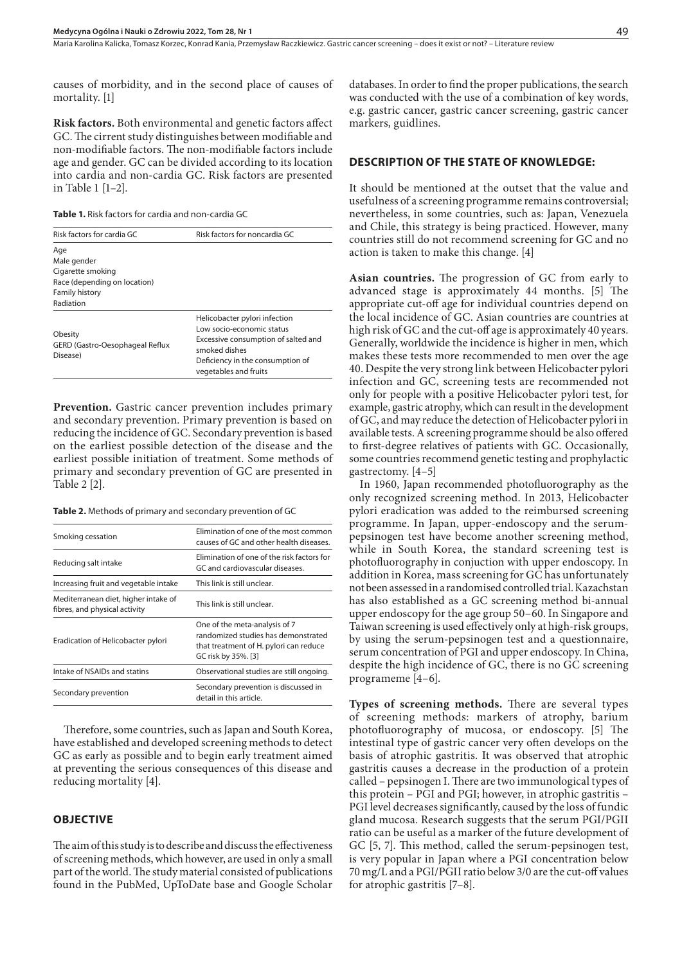causes of morbidity, and in the second place of causes of mortality. [1]

**Risk factors.** Both environmental and genetic factors affect GC. The cirrent study distinguishes between modifiable and non-modifiable factors. The non-modifiable factors include age and gender. GC can be divided according to its location into cardia and non-cardia GC. Risk factors are presented in Table 1 [1–2].

| <b>Table 1.</b> Risk factors for cardia and non-cardia GC |
|-----------------------------------------------------------|
|-----------------------------------------------------------|

| Risk factors for cardia GC                                                                                    | Risk factors for noncardia GC                                                                                                                                                   |
|---------------------------------------------------------------------------------------------------------------|---------------------------------------------------------------------------------------------------------------------------------------------------------------------------------|
| Age<br>Male gender<br>Cigarette smoking<br>Race (depending on location)<br><b>Family history</b><br>Radiation |                                                                                                                                                                                 |
| Obesity<br>GERD (Gastro-Oesophageal Reflux<br>Disease)                                                        | Helicobacter pylori infection<br>Low socio-economic status<br>Excessive consumption of salted and<br>smoked dishes<br>Deficiency in the consumption of<br>vegetables and fruits |

**Prevention.** Gastric cancer prevention includes primary and secondary prevention. Primary prevention is based on reducing the incidence of GC. Secondary prevention is based on the earliest possible detection of the disease and the earliest possible initiation of treatment. Some methods of primary and secondary prevention of GC are presented in Table 2 [2].

**Table 2.** Methods of primary and secondary prevention of GC

| Smoking cessation                                                     | Elimination of one of the most common<br>causes of GC and other health diseases.                                                      |
|-----------------------------------------------------------------------|---------------------------------------------------------------------------------------------------------------------------------------|
| Reducing salt intake                                                  | Elimination of one of the risk factors for<br>GC and cardiovascular diseases.                                                         |
| Increasing fruit and vegetable intake                                 | This link is still unclear.                                                                                                           |
| Mediterranean diet, higher intake of<br>fibres, and physical activity | This link is still unclear.                                                                                                           |
| Eradication of Helicobacter pylori                                    | One of the meta-analysis of 7<br>randomized studies has demonstrated<br>that treatment of H. pylori can reduce<br>GC risk by 35%. [3] |
| Intake of NSAIDs and statins                                          | Observational studies are still ongoing.                                                                                              |
| Secondary prevention                                                  | Secondary prevention is discussed in<br>detail in this article.                                                                       |
|                                                                       |                                                                                                                                       |

Therefore, some countries, such as Japan and South Korea, have established and developed screening methods to detect GC as early as possible and to begin early treatment aimed at preventing the serious consequences of this disease and reducing mortality [4].

## **OBJECTIVE**

The aim of this study is to describe and discuss the effectiveness of screening methods, which however, are used in only a small part of the world. The study material consisted of publications found in the PubMed, UpToDate base and Google Scholar databases. In order to find the proper publications, the search was conducted with the use of a combination of key words, e.g. gastric cancer, gastric cancer screening, gastric cancer markers, guidlines.

#### **DESCRIPTION OF THE STATE OF KNOWLEDGE:**

It should be mentioned at the outset that the value and usefulness of a screening programme remains controversial; nevertheless, in some countries, such as: Japan, Venezuela and Chile, this strategy is being practiced. However, many countries still do not recommend screening for GC and no action is taken to make this change. [4]

**Asian countries.** The progression of GC from early to advanced stage is approximately 44 months. [5] The appropriate cut-off age for individual countries depend on the local incidence of GC. Asian countries are countries at high risk of GC and the cut-off age is approximately 40 years. Generally, worldwide the incidence is higher in men, which makes these tests more recommended to men over the age 40. Despite the very strong link between Helicobacter pylori infection and GC, screening tests are recommended not only for people with a positive Helicobacter pylori test, for example, gastric atrophy, which can result in the development of GC, and may reduce the detection of Helicobacter pylori in available tests. A screening programme should be also offered to first-degree relatives of patients with GC. Occasionally, some countries recommend genetic testing and prophylactic gastrectomy. [4–5]

In 1960, Japan recommended photofluorography as the only recognized screening method. In 2013, Helicobacter pylori eradication was added to the reimbursed screening programme. In Japan, upper-endoscopy and the serumpepsinogen test have become another screening method, while in South Korea, the standard screening test is photofluorography in conjuction with upper endoscopy. In addition in Korea, mass screening for GC has unfortunately not been assessed in a randomised controlled trial. Kazachstan has also established as a GC screening method bi-annual upper endoscopy for the age group 50–60. In Singapore and Taiwan screening is used effectively only at high-risk groups, by using the serum-pepsinogen test and a questionnaire, serum concentration of PGI and upper endoscopy. In China, despite the high incidence of GC, there is no GC screening programeme [4–6].

**Types of screening methods.** There are several types of screening methods: markers of atrophy, barium photofluorography of mucosa, or endoscopy. [5] The intestinal type of gastric cancer very often develops on the basis of atrophic gastritis. It was observed that atrophic gastritis causes a decrease in the production of a protein called – pepsinogen I. There are two immunological types of this protein – PGI and PGI; however, in atrophic gastritis – PGI level decreases significantly, caused by the loss of fundic gland mucosa. Research suggests that the serum PGI/PGII ratio can be useful as a marker of the future development of GC [5, 7]. This method, called the serum-pepsinogen test, is very popular in Japan where a PGI concentration below 70 mg/L and a PGI/PGII ratio below 3/0 are the cut-off values for atrophic gastritis [7–8].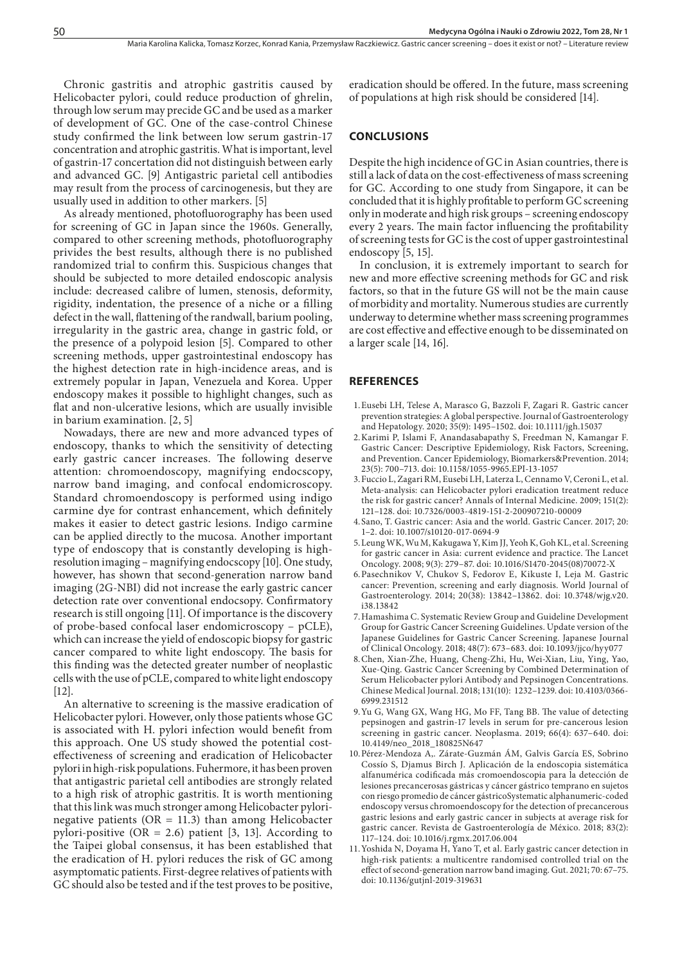Chronic gastritis and atrophic gastritis caused by Helicobacter pylori, could reduce production of ghrelin, through low serum may precide GC and be used as a marker of development of GC. One of the case-control Chinese study confirmed the link between low serum gastrin-17 concentration and atrophic gastritis. What is important, level of gastrin-17 concertation did not distinguish between early and advanced GC. [9] Antigastric parietal cell antibodies may result from the process of carcinogenesis, but they are usually used in addition to other markers. [5]

As already mentioned, photofluorography has been used for screening of GC in Japan since the 1960s. Generally, compared to other screening methods, photofluorography privides the best results, although there is no published randomized trial to confirm this. Suspicious changes that should be subjected to more detailed endoscopic analysis include: decreased calibre of lumen, stenosis, deformity, rigidity, indentation, the presence of a niche or a filling defect in the wall, flattening of the randwall, barium pooling, irregularity in the gastric area, change in gastric fold, or the presence of a polypoid lesion [5]. Compared to other screening methods, upper gastrointestinal endoscopy has the highest detection rate in high-incidence areas, and is extremely popular in Japan, Venezuela and Korea. Upper endoscopy makes it possible to highlight changes, such as flat and non-ulcerative lesions, which are usually invisible in barium examination. [2, 5]

Nowadays, there are new and more advanced types of endoscopy, thanks to which the sensitivity of detecting early gastric cancer increases. The following deserve attention: chromoendoscopy, magnifying endocscopy, narrow band imaging, and confocal endomicroscopy. Standard chromoendoscopy is performed using indigo carmine dye for contrast enhancement, which definitely makes it easier to detect gastric lesions. Indigo carmine can be applied directly to the mucosa. Another important type of endoscopy that is constantly developing is highresolution imaging – magnifying endocscopy [10]. One study, however, has shown that second-generation narrow band imaging (2G-NBI) did not increase the early gastric cancer detection rate over conventional endocsopy. Confirmatory research is still ongoing [11]. Of importance is the discovery of probe-based confocal laser endomicroscopy – pCLE), which can increase the yield of endoscopic biopsy for gastric cancer compared to white light endoscopy. The basis for this finding was the detected greater number of neoplastic cells with the use of pCLE, compared to white light endoscopy [12].

An alternative to screening is the massive eradication of Helicobacter pylori. However, only those patients whose GC is associated with H. pylori infection would benefit from this approach. One US study showed the potential costeffectiveness of screening and eradication of Helicobacter pylori in high-risk populations. Fuhermore, it has been proven that antigastric parietal cell antibodies are strongly related to a high risk of atrophic gastritis. It is worth mentioning that this link was much stronger among Helicobacter pylorinegative patients ( $OR = 11.3$ ) than among Helicobacter pylori-positive (OR = 2.6) patient [3, 13]. According to the Taipei global consensus, it has been established that the eradication of H. pylori reduces the risk of GC among asymptomatic patients. First-degree relatives of patients with GC should also be tested and if the test proves to be positive,

eradication should be offered. In the future, mass screening of populations at high risk should be considered [14].

#### **CONCLUSIONS**

Despite the high incidence of GC in Asian countries, there is still a lack of data on the cost-effectiveness of mass screening for GC. According to one study from Singapore, it can be concluded that it is highly profitable to perform GC screening only in moderate and high risk groups – screening endoscopy every 2 years. The main factor influencing the profitability of screening tests for GC is the cost of upper gastrointestinal endoscopy [5, 15].

In conclusion, it is extremely important to search for new and more effective screening methods for GC and risk factors, so that in the future GS will not be the main cause of morbidity and mortality. Numerous studies are currently underway to determine whether mass screening programmes are cost effective and effective enough to be disseminated on a larger scale [14, 16].

### **REFERENCES**

- 1.Eusebi LH, Telese A, Marasco G, Bazzoli F, Zagari R. Gastric cancer prevention strategies: A global perspective. Journal of Gastroenterology and Hepatology. 2020; 35(9): 1495–1502. doi: 10.1111/jgh.15037
- 2.Karimi P, Islami F, Anandasabapathy S, Freedman N, Kamangar F. Gastric Cancer: Descriptive Epidemiology, Risk Factors, Screening, and Prevention. Cancer Epidemiology, Biomarkers&Prevention. 2014; 23(5): 700–713. doi: 10.1158/1055-9965.EPI-13-1057
- 3.Fuccio L, Zagari RM, Eusebi LH, Laterza L, Cennamo V, Ceroni L, et al. Meta-analysis: can Helicobacter pylori eradication treatment reduce the risk for gastric cancer? Annals of Internal Medicine. 2009; 151(2): 121–128. doi: 10.7326/0003-4819-151-2-200907210-00009
- 4.Sano, T. Gastric cancer: Asia and the world. Gastric Cancer. 2017; 20: 1–2. doi: 10.1007/s10120-017-0694-9
- 5.Leung WK, Wu M, Kakugawa Y, Kim JJ, Yeoh K, Goh KL, et al. Screening for gastric cancer in Asia: current evidence and practice. The Lancet Oncology. 2008; 9(3): 279–87. doi: 10.1016/S1470-2045(08)70072-X
- 6.Pasechnikov V, Chukov S, Fedorov E, Kikuste I, Leja M. Gastric cancer: Prevention, screening and early diagnosis. World Journal of Gastroenterology. 2014; 20(38): 13842–13862. doi: 10.3748/wjg.v20. i38.13842
- 7.Hamashima C. Systematic Review Group and Guideline Development Group for Gastric Cancer Screening Guidelines. Update version of the Japanese Guidelines for Gastric Cancer Screening. Japanese Journal of Clinical Oncology. 2018; 48(7): 673–683. doi: 10.1093/jjco/hyy077
- 8.Chen, Xian-Zhe, Huang, Cheng-Zhi, Hu, Wei-Xian, Liu, Ying, Yao, Xue-Qing. Gastric Cancer Screening by Combined Determination of Serum Helicobacter pylori Antibody and Pepsinogen Concentrations. Chinese Medical Journal. 2018; 131(10): 1232–1239. doi: 10.4103/0366- 6999.231512
- 9.Yu G, Wang GX, Wang HG, Mo FF, Tang BB. The value of detecting pepsinogen and gastrin-17 levels in serum for pre-cancerous lesion screening in gastric cancer. Neoplasma. 2019; 66(4): 637–640. doi: 10.4149/neo\_2018\_180825N647
- 10.Pérez-Mendoza A,. Zárate-Guzmán ÁM, Galvis García ES, Sobrino Cossío S, Djamus Birch J. Aplicación de la endoscopia sistemática alfanumérica codificada más cromoendoscopia para la detección de lesiones precancerosas gástricas y cáncer gástrico temprano en sujetos con riesgo promedio de cáncer gástricoSystematic alphanumeric-coded endoscopy versus chromoendoscopy for the detection of precancerous gastric lesions and early gastric cancer in subjects at average risk for gastric cancer. Revista de Gastroenterología de México. 2018; 83(2): 117–124. doi: 10.1016/j.rgmx.2017.06.004
- 11.Yoshida N, Doyama H, Yano T, et al. Early gastric cancer detection in high-risk patients: a multicentre randomised controlled trial on the effect of second-generation narrow band imaging. Gut. 2021; 70: 67–75. doi: 10.1136/gutjnl-2019-319631